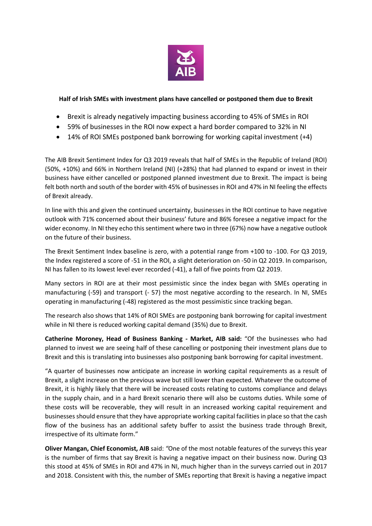

## **Half of Irish SMEs with investment plans have cancelled or postponed them due to Brexit**

- Brexit is already negatively impacting business according to 45% of SMEs in ROI
- 59% of businesses in the ROI now expect a hard border compared to 32% in NI
- 14% of ROI SMEs postponed bank borrowing for working capital investment (+4)

The AIB Brexit Sentiment Index for Q3 2019 reveals that half of SMEs in the Republic of Ireland (ROI) (50%, +10%) and 66% in Northern Ireland (NI) (+28%) that had planned to expand or invest in their business have either cancelled or postponed planned investment due to Brexit. The impact is being felt both north and south of the border with 45% of businesses in ROI and 47% in NI feeling the effects of Brexit already.

In line with this and given the continued uncertainty, businesses in the ROI continue to have negative outlook with 71% concerned about their business' future and 86% foresee a negative impact for the wider economy. In NI they echo this sentiment where two in three (67%) now have a negative outlook on the future of their business.

The Brexit Sentiment Index baseline is zero, with a potential range from +100 to -100. For Q3 2019, the Index registered a score of -51 in the ROI, a slight deterioration on -50 in Q2 2019. In comparison, NI has fallen to its lowest level ever recorded (-41), a fall of five points from Q2 2019.

Many sectors in ROI are at their most pessimistic since the index began with SMEs operating in manufacturing (-59) and transport (- 57) the most negative according to the research. In NI, SMEs operating in manufacturing (-48) registered as the most pessimistic since tracking began.

The research also shows that 14% of ROI SMEs are postponing bank borrowing for capital investment while in NI there is reduced working capital demand (35%) due to Brexit.

**Catherine Moroney, Head of Business Banking - Market, AIB said:** "Of the businesses who had planned to invest we are seeing half of these cancelling or postponing their investment plans due to Brexit and this is translating into businesses also postponing bank borrowing for capital investment.

"A quarter of businesses now anticipate an increase in working capital requirements as a result of Brexit, a slight increase on the previous wave but still lower than expected. Whatever the outcome of Brexit, it is highly likely that there will be increased costs relating to customs compliance and delays in the supply chain, and in a hard Brexit scenario there will also be customs duties. While some of these costs will be recoverable, they will result in an increased working capital requirement and businesses should ensure that they have appropriate working capital facilities in place so that the cash flow of the business has an additional safety buffer to assist the business trade through Brexit, irrespective of its ultimate form."

**Oliver Mangan, Chief Economist, AIB** said: *"*One of the most notable features of the surveys this year is the number of firms that say Brexit is having a negative impact on their business now. During Q3 this stood at 45% of SMEs in ROI and 47% in NI, much higher than in the surveys carried out in 2017 and 2018. Consistent with this, the number of SMEs reporting that Brexit is having a negative impact